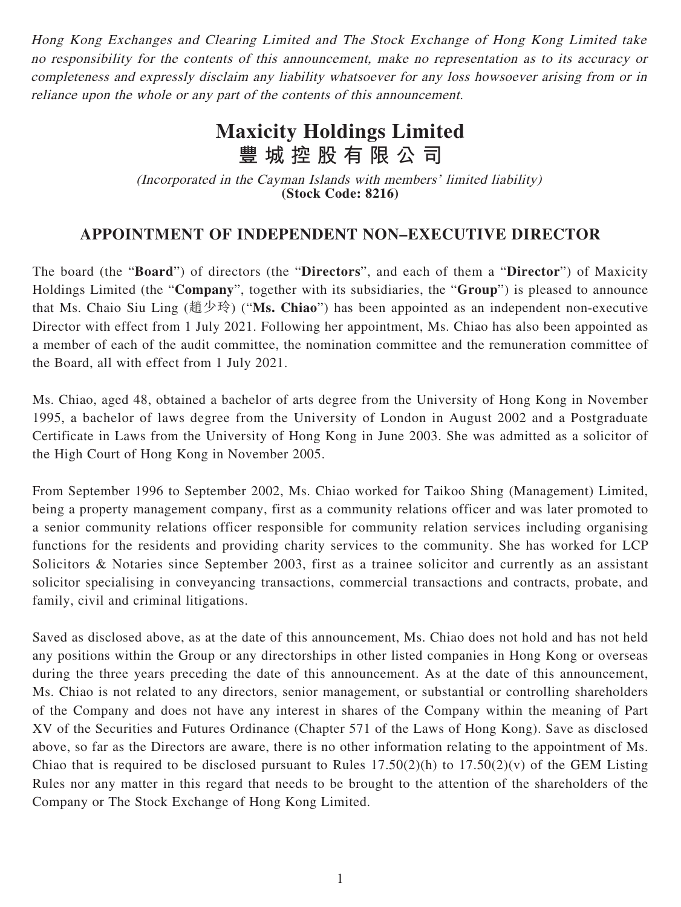Hong Kong Exchanges and Clearing Limited and The Stock Exchange of Hong Kong Limited take no responsibility for the contents of this announcement, make no representation as to its accuracy or completeness and expressly disclaim any liability whatsoever for any loss howsoever arising from or in reliance upon the whole or any part of the contents of this announcement.

## **Maxicity Holdings Limited 豐城控股有限公司**

(Incorporated in the Cayman Islands with members' limited liability) **(Stock Code: 8216)**

## **APPOINTMENT OF INDEPENDENT NON–EXECUTIVE DIRECTOR**

The board (the "**Board**") of directors (the "**Directors**", and each of them a "**Director**") of Maxicity Holdings Limited (the "**Company**", together with its subsidiaries, the "**Group**") is pleased to announce that Ms. Chaio Siu Ling (趙少玲) ("**Ms. Chiao**") has been appointed as an independent non-executive Director with effect from 1 July 2021. Following her appointment, Ms. Chiao has also been appointed as a member of each of the audit committee, the nomination committee and the remuneration committee of the Board, all with effect from 1 July 2021.

Ms. Chiao, aged 48, obtained a bachelor of arts degree from the University of Hong Kong in November 1995, a bachelor of laws degree from the University of London in August 2002 and a Postgraduate Certificate in Laws from the University of Hong Kong in June 2003. She was admitted as a solicitor of the High Court of Hong Kong in November 2005.

From September 1996 to September 2002, Ms. Chiao worked for Taikoo Shing (Management) Limited, being a property management company, first as a community relations officer and was later promoted to a senior community relations officer responsible for community relation services including organising functions for the residents and providing charity services to the community. She has worked for LCP Solicitors & Notaries since September 2003, first as a trainee solicitor and currently as an assistant solicitor specialising in conveyancing transactions, commercial transactions and contracts, probate, and family, civil and criminal litigations.

Saved as disclosed above, as at the date of this announcement, Ms. Chiao does not hold and has not held any positions within the Group or any directorships in other listed companies in Hong Kong or overseas during the three years preceding the date of this announcement. As at the date of this announcement, Ms. Chiao is not related to any directors, senior management, or substantial or controlling shareholders of the Company and does not have any interest in shares of the Company within the meaning of Part XV of the Securities and Futures Ordinance (Chapter 571 of the Laws of Hong Kong). Save as disclosed above, so far as the Directors are aware, there is no other information relating to the appointment of Ms. Chiao that is required to be disclosed pursuant to Rules  $17.50(2)(h)$  to  $17.50(2)(v)$  of the GEM Listing Rules nor any matter in this regard that needs to be brought to the attention of the shareholders of the Company or The Stock Exchange of Hong Kong Limited.